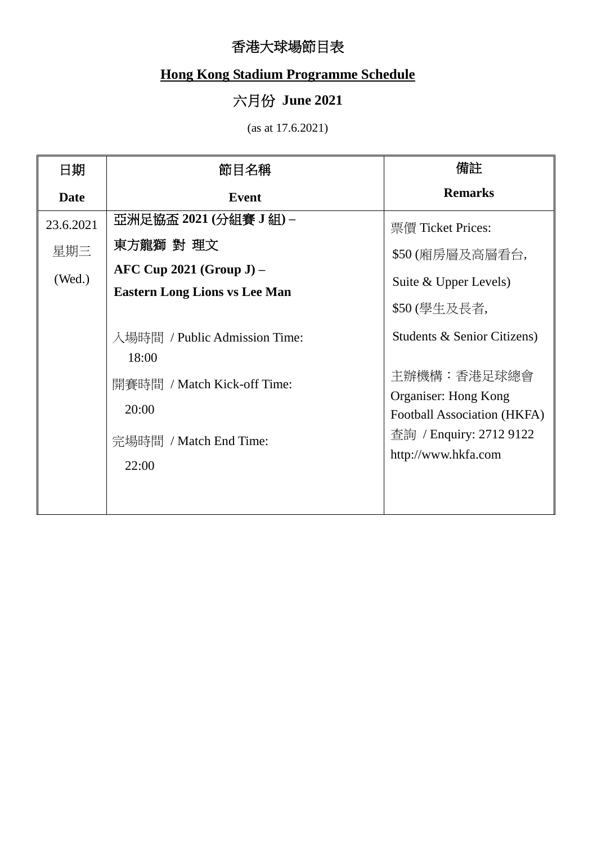## 香港大球場節目表

## **Hong Kong Stadium Programme Schedule**

## 六月份 **June 2021**

(as at 17.6.2021)

| 日期                         | 節目名稱                                                                                                              | 備註                                                                                                                                                  |
|----------------------------|-------------------------------------------------------------------------------------------------------------------|-----------------------------------------------------------------------------------------------------------------------------------------------------|
| <b>Date</b>                | <b>Event</b>                                                                                                      | <b>Remarks</b>                                                                                                                                      |
| 23.6.2021<br>星期三<br>(Wed.) | 亞洲足協盃 2021 (分組賽 J 組) –<br>東方龍獅 對 理文<br>$AFC Cup 2021 (Group J) -$<br><b>Eastern Long Lions vs Lee Man</b>         | 票價 Ticket Prices:<br>\$50 (廂房層及高層看台,<br>Suite & Upper Levels)<br>\$50 (學生及長者,                                                                       |
|                            | 入場時間 / Public Admission Time:<br>18:00<br>開賽時間 / Match Kick-off Time:<br>20:00<br>完場時間 / Match End Time:<br>22:00 | Students & Senior Citizens)<br>主辦機構:香港足球總會<br>Organiser: Hong Kong<br>Football Association (HKFA)<br>查詢 / Enquiry: 2712 9122<br>http://www.hkfa.com |